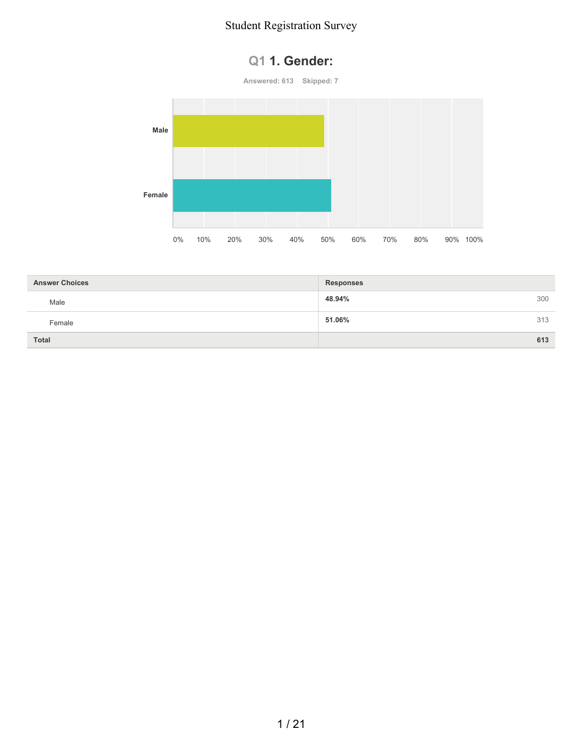



| <b>Answer Choices</b> | <b>Responses</b> |     |
|-----------------------|------------------|-----|
| Male                  | 48.94%           | 300 |
| Female                | 51.06%           | 313 |
| <b>Total</b>          |                  | 613 |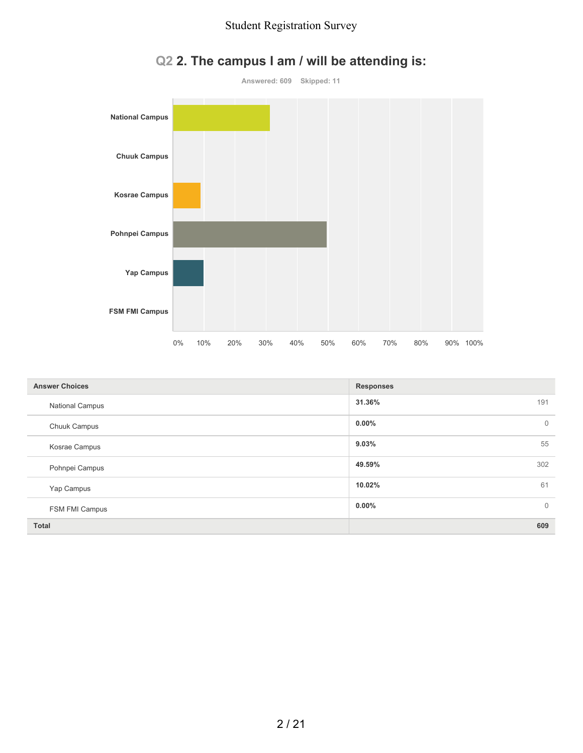

# **Q2 2. The campus I am / will be attending is:**

| <b>Answer Choices</b>  | <b>Responses</b>         |
|------------------------|--------------------------|
| <b>National Campus</b> | 31.36%<br>191            |
| Chuuk Campus           | $0.00\%$<br>$\mathbf{0}$ |
| Kosrae Campus          | 9.03%<br>55              |
| Pohnpei Campus         | 49.59%<br>302            |
| Yap Campus             | 10.02%<br>61             |
| FSM FMI Campus         | $0.00\%$<br>$\mathbf{0}$ |
| <b>Total</b>           | 609                      |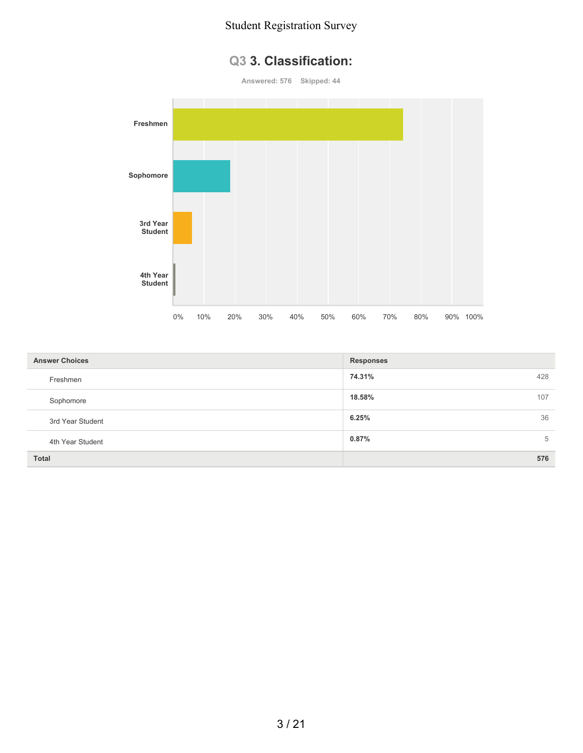## **Q3 3. Classification:**

**Answered: 576 Skipped: 44**



| <b>Answer Choices</b> | <b>Responses</b> |
|-----------------------|------------------|
| Freshmen              | 74.31%<br>428    |
| Sophomore             | 18.58%<br>107    |
| 3rd Year Student      | 36<br>6.25%      |
| 4th Year Student      | 0.87%<br>5       |
| <b>Total</b>          | 576              |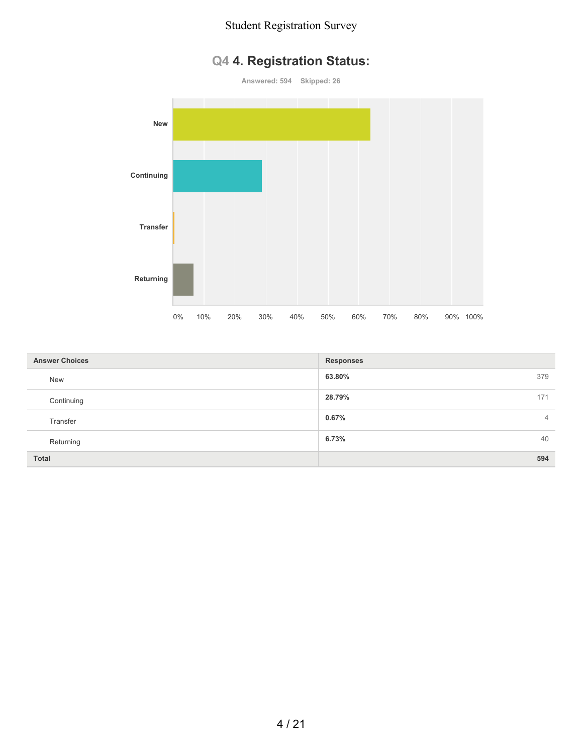# **Q4 4. Registration Status:**

**Answered: 594 Skipped: 26**



| <b>Answer Choices</b> | <b>Responses</b>        |
|-----------------------|-------------------------|
| <b>New</b>            | 63.80%<br>379           |
| Continuing            | 28.79%<br>171           |
| Transfer              | 0.67%<br>$\overline{4}$ |
| Returning             | 6.73%<br>40             |
| <b>Total</b>          | 594                     |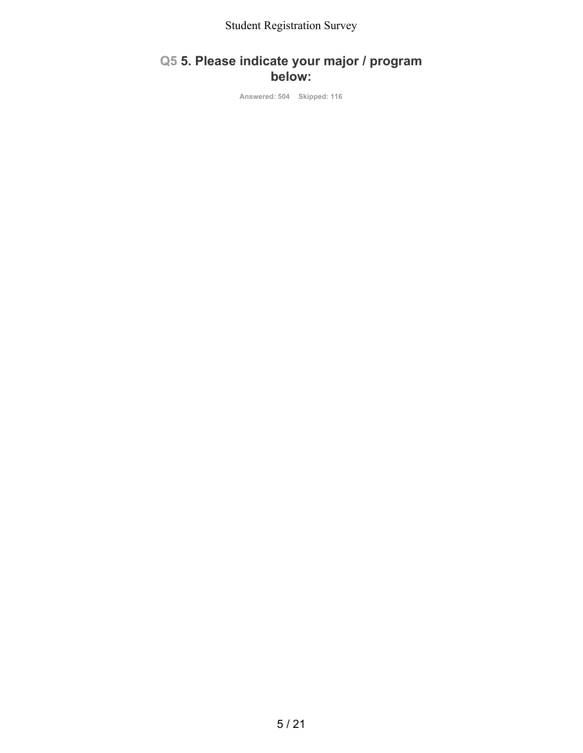## **Q5 5. Please indicate your major / program below:**

**Answered: 504 Skipped: 116**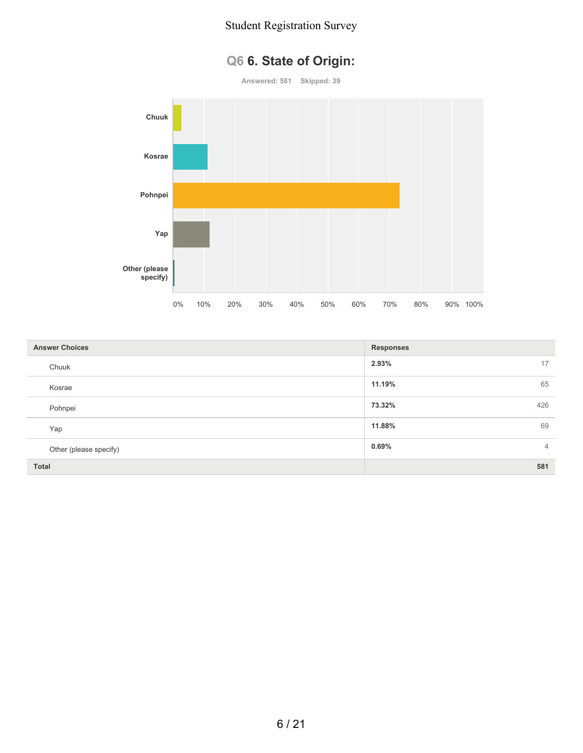# **Q6 6. State of Origin:**

**Answered: 581 Skipped: 39**



| <b>Answer Choices</b>  | <b>Responses</b>        |
|------------------------|-------------------------|
| Chuuk                  | 2.93%<br>17             |
| Kosrae                 | 11.19%<br>65            |
| Pohnpei                | 73.32%<br>426           |
| Yap                    | 69<br>11.88%            |
| Other (please specify) | 0.69%<br>$\overline{4}$ |
| Total                  | 581                     |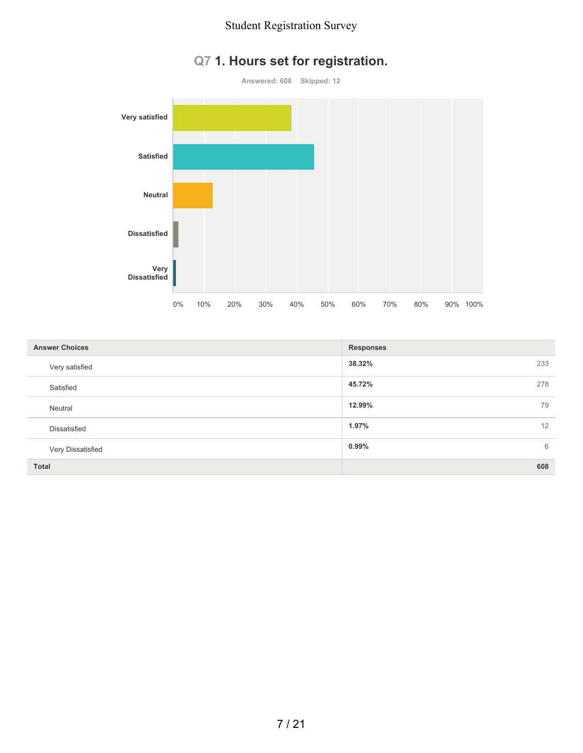

# **Q7 1. Hours set for registration.**

| <b>Answer Choices</b> | <b>Responses</b> |
|-----------------------|------------------|
| Very satisfied        | 38.32%<br>233    |
| Satisfied             | 45.72%<br>278    |
| Neutral               | 12.99%<br>79     |
| <b>Dissatisfied</b>   | 1.97%<br>12      |
| Very Dissatisfied     | 0.99%<br>6       |
| <b>Total</b>          | 608              |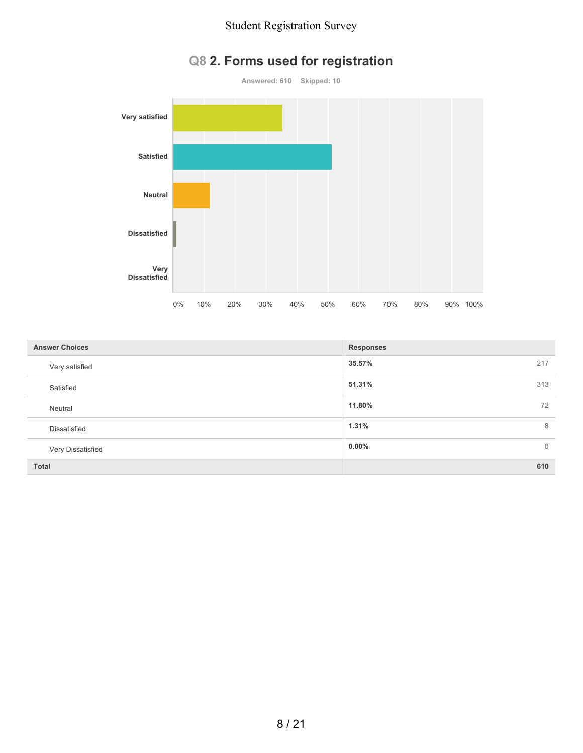

# **Q8 2. Forms used for registration**

| <b>Answer Choices</b> | <b>Responses</b>         |
|-----------------------|--------------------------|
| Very satisfied        | 35.57%<br>217            |
| Satisfied             | 51.31%<br>313            |
| Neutral               | 11.80%<br>72             |
| Dissatisfied          | 1.31%<br>8               |
| Very Dissatisfied     | $0.00\%$<br>$\mathbf{0}$ |
| Total                 | 610                      |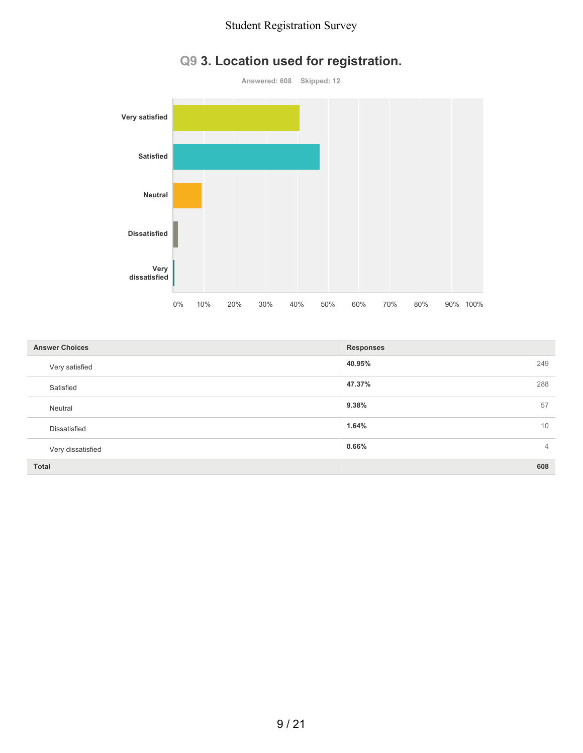

# **Q9 3. Location used for registration.**

| <b>Answer Choices</b> | <b>Responses</b>        |
|-----------------------|-------------------------|
| Very satisfied        | 40.95%<br>249           |
| Satisfied             | 47.37%<br>288           |
| Neutral               | 9.38%<br>57             |
| Dissatisfied          | 1.64%<br>10             |
| Very dissatisfied     | 0.66%<br>$\overline{4}$ |
| <b>Total</b>          | 608                     |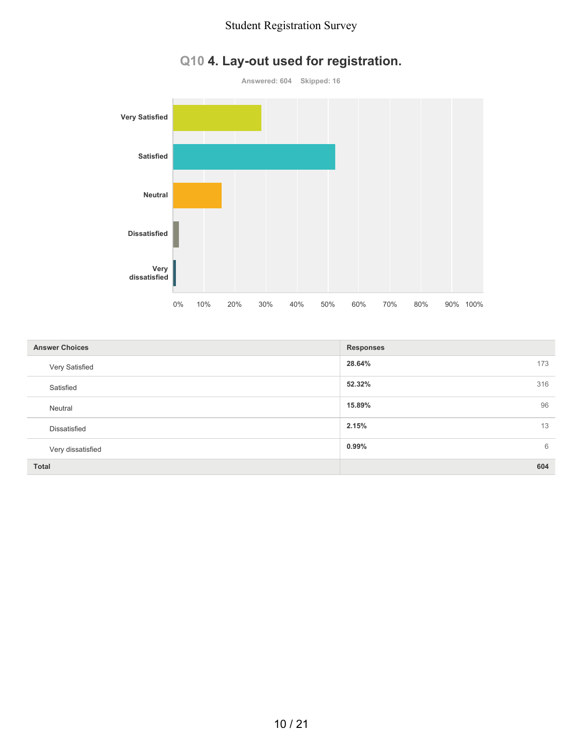

# **Q10 4. Lay-out used for registration.**

| <b>Answer Choices</b> | <b>Responses</b> |
|-----------------------|------------------|
| Very Satisfied        | 28.64%<br>173    |
| Satisfied             | 52.32%<br>316    |
| Neutral               | 15.89%<br>96     |
| Dissatisfied          | 2.15%<br>13      |
| Very dissatisfied     | $0.99\%$<br>6    |
| <b>Total</b>          | 604              |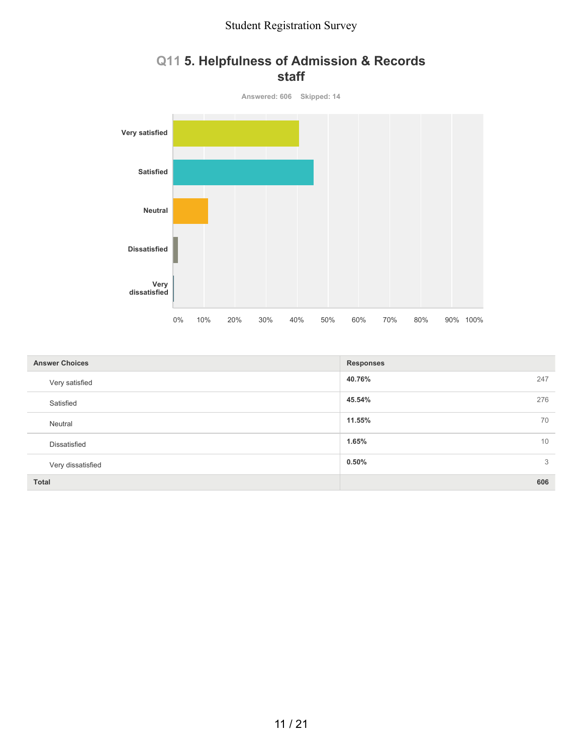

## **Q11 5. Helpfulness of Admission & Records staff**

| <b>Answer Choices</b> | <b>Responses</b> |
|-----------------------|------------------|
| Very satisfied        | 40.76%<br>247    |
| Satisfied             | 45.54%<br>276    |
| Neutral               | 11.55%<br>70     |
| <b>Dissatisfied</b>   | 1.65%<br>10      |
| Very dissatisfied     | 0.50%<br>3       |
| <b>Total</b>          | 606              |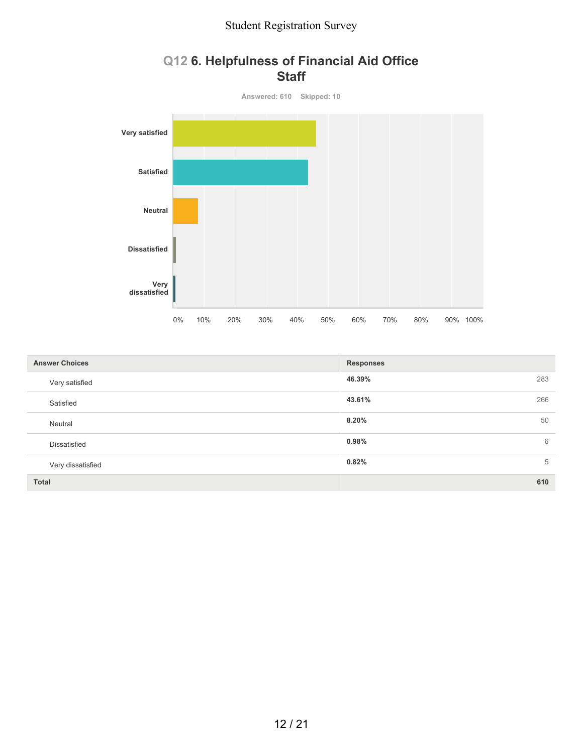# **Q12 6. Helpfulness of Financial Aid Office Staff Answered: 610 Skipped: 10 Very satisfied Satisfied Neutral**

|                       | $0\%$ | 10% | 20% | 30% | 40% | 50% | 60%              | 70% | 80% | 90% 100% |     |
|-----------------------|-------|-----|-----|-----|-----|-----|------------------|-----|-----|----------|-----|
|                       |       |     |     |     |     |     |                  |     |     |          |     |
| <b>Answer Choices</b> |       |     |     |     |     |     | <b>Responses</b> |     |     |          |     |
| Very satisfied        |       |     |     |     |     |     | 46.39%           |     |     |          | 283 |
| Satisfied             |       |     |     |     |     |     | 43.61%           |     |     |          | 266 |
| Neutral               |       |     |     |     |     |     | 8.20%            |     |     |          | 50  |
| Dissatisfied          |       |     |     |     |     |     | 0.98%            |     |     |          | 6   |
| Very dissatisfied     |       |     |     |     |     |     | 0.82%            |     |     |          | 5   |
| <b>Total</b>          |       |     |     |     |     |     |                  |     |     |          | 610 |

**Dissatisfied**

**Very dissatisfied**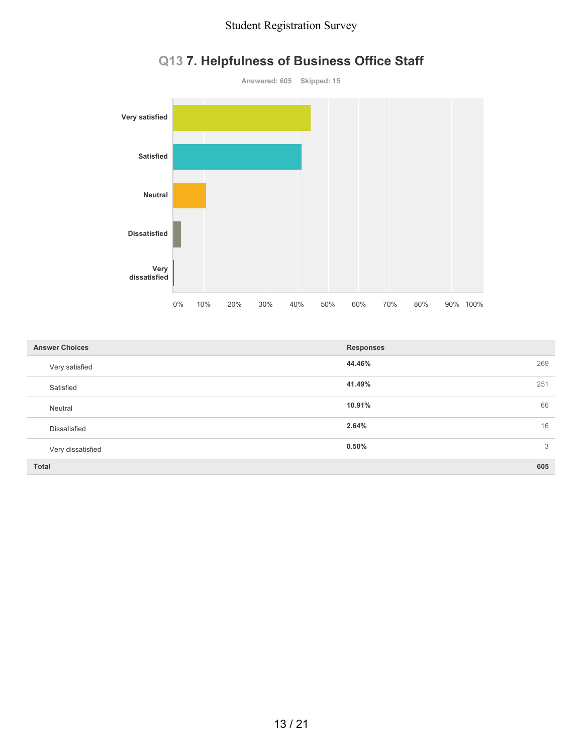

# **Q13 7. Helpfulness of Business Office Staff**

| <b>Answer Choices</b> | <b>Responses</b> |
|-----------------------|------------------|
| Very satisfied        | 44.46%<br>269    |
| Satisfied             | 41.49%<br>251    |
| Neutral               | 10.91%<br>66     |
| <b>Dissatisfied</b>   | 2.64%<br>16      |
| Very dissatisfied     | 0.50%<br>3       |
| <b>Total</b>          | 605              |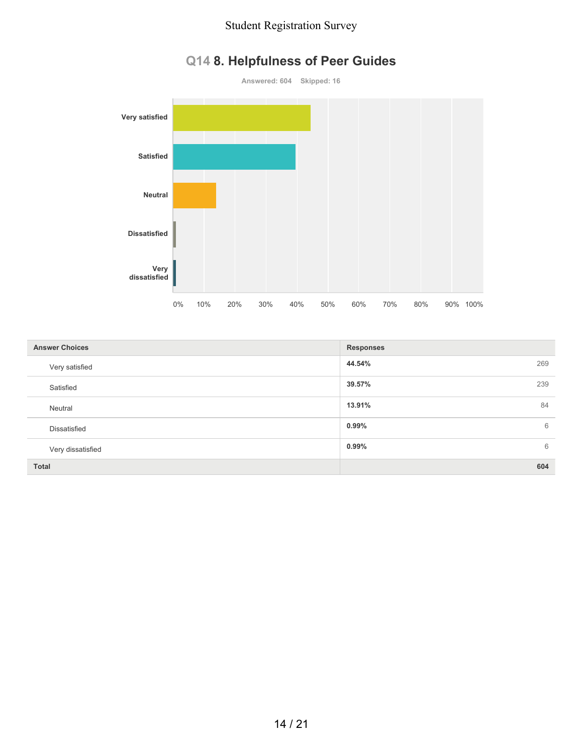

# **Q14 8. Helpfulness of Peer Guides**

| <b>Answer Choices</b> | <b>Responses</b> |
|-----------------------|------------------|
| Very satisfied        | 44.54%<br>269    |
| Satisfied             | 39.57%<br>239    |
| Neutral               | 13.91%<br>84     |
| Dissatisfied          | $0.99\%$<br>6    |
| Very dissatisfied     | $0.99\%$<br>6    |
| <b>Total</b>          | 604              |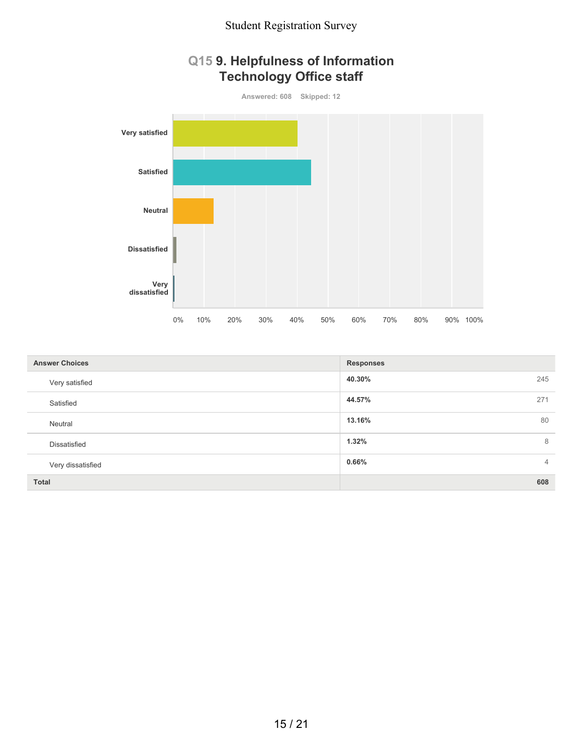

| <b>Answer Choices</b> | <b>Responses</b>        |
|-----------------------|-------------------------|
| Very satisfied        | 40.30%<br>245           |
| Satisfied             | 44.57%<br>271           |
| Neutral               | 80<br>13.16%            |
| <b>Dissatisfied</b>   | 1.32%<br>8              |
| Very dissatisfied     | 0.66%<br>$\overline{4}$ |
| <b>Total</b>          | 608                     |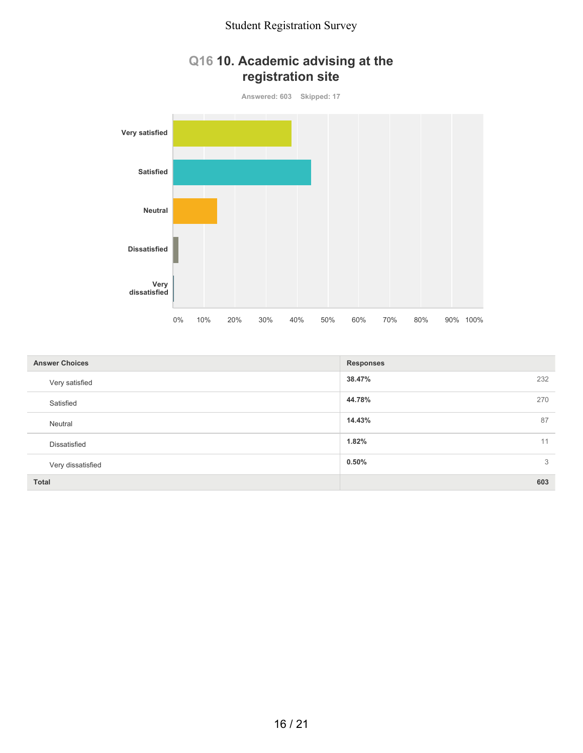# **Q16 10. Academic advising at the registration site**



| <b>Answer Choices</b> | <b>Responses</b> |
|-----------------------|------------------|
| Very satisfied        | 38.47%<br>232    |
| Satisfied             | 44.78%<br>270    |
| Neutral               | 87<br>14.43%     |
| Dissatisfied          | 1.82%<br>11      |
| Very dissatisfied     | 0.50%<br>3       |
| <b>Total</b>          | 603              |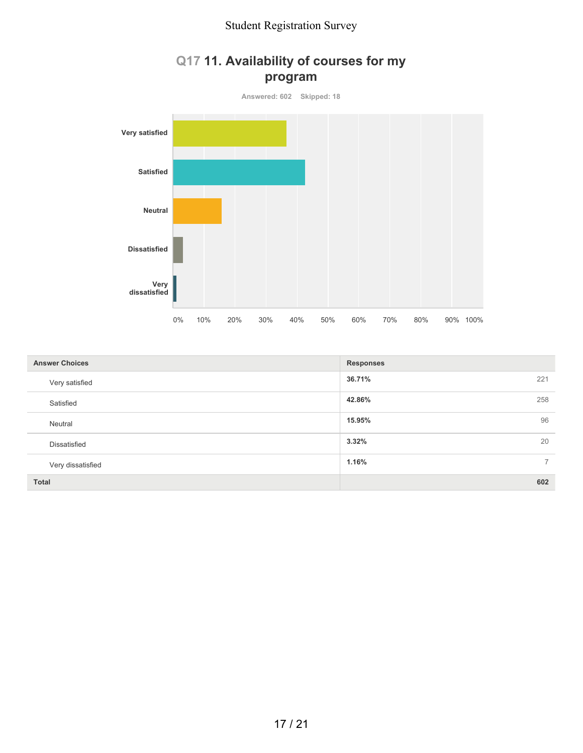

# **Q17 11. Availability of courses for my**

| <b>Answer Choices</b> | <b>Responses</b>        |
|-----------------------|-------------------------|
| Very satisfied        | 36.71%<br>221           |
| Satisfied             | 42.86%<br>258           |
| Neutral               | 96<br>15.95%            |
| <b>Dissatisfied</b>   | 3.32%<br>20             |
| Very dissatisfied     | 1.16%<br>$\overline{7}$ |
| Total                 | 602                     |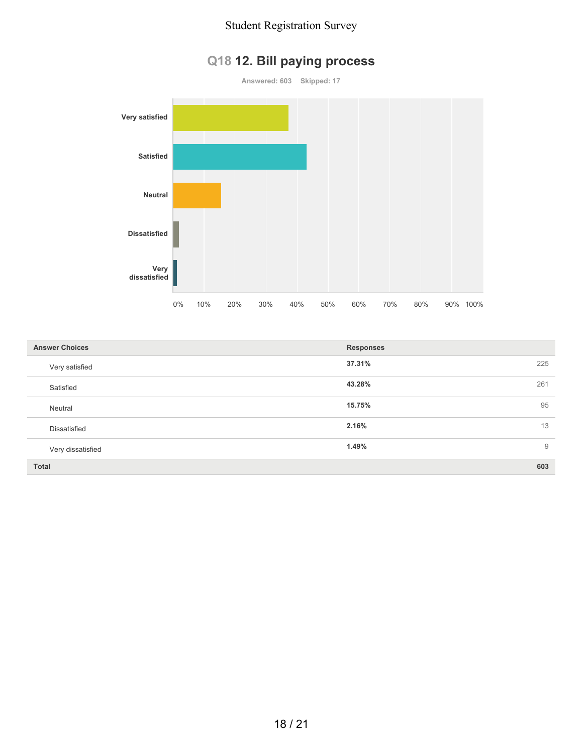

# **Q18 12. Bill paying process**

| <b>Answer Choices</b> | <b>Responses</b> |
|-----------------------|------------------|
| Very satisfied        | 37.31%<br>225    |
| Satisfied             | 43.28%<br>261    |
| Neutral               | 15.75%<br>95     |
| Dissatisfied          | 2.16%<br>13      |
| Very dissatisfied     | 1.49%<br>9       |
| <b>Total</b>          | 603              |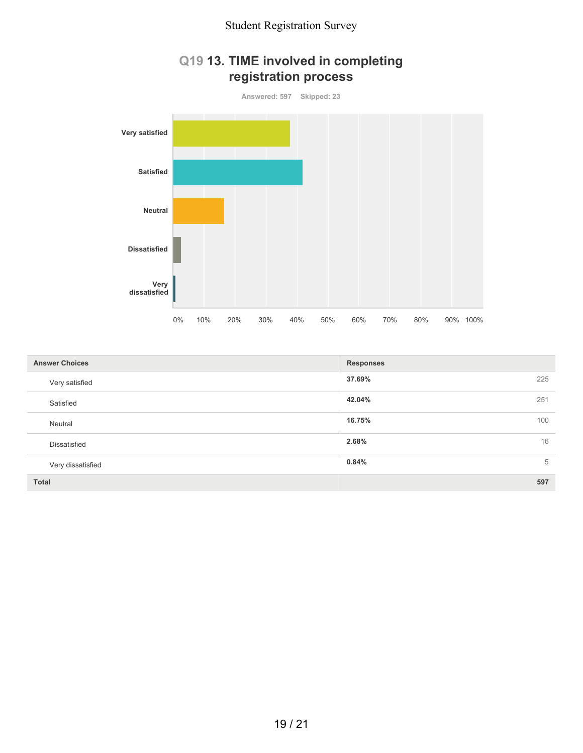

| <b>Answer Choices</b> | <b>Responses</b> |
|-----------------------|------------------|
| Very satisfied        | 37.69%<br>225    |
| Satisfied             | 42.04%<br>251    |
| Neutral               | 100<br>16.75%    |
| <b>Dissatisfied</b>   | 16<br>2.68%      |
| Very dissatisfied     | 0.84%<br>5       |
| <b>Total</b>          | 597              |

# **Q19 13. TIME involved in completing registration process**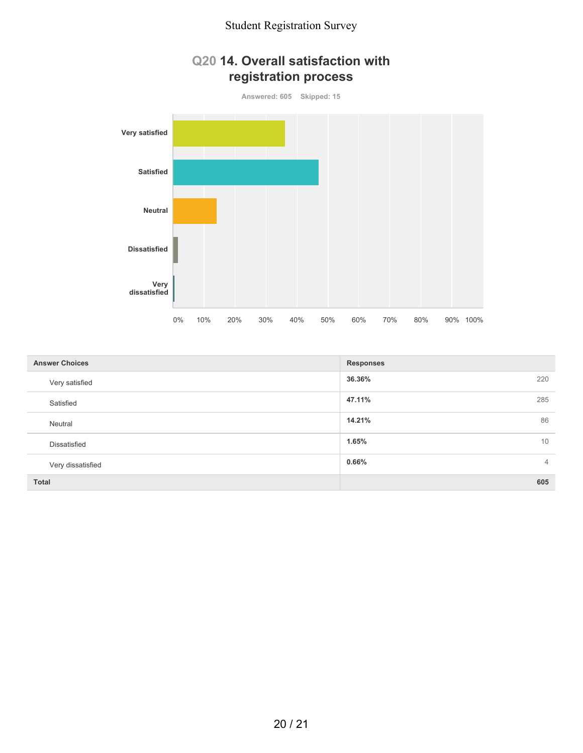

| <b>Answer Choices</b> | <b>Responses</b>        |
|-----------------------|-------------------------|
| Very satisfied        | 36.36%<br>220           |
| Satisfied             | 285<br>47.11%           |
| Neutral               | 86<br>14.21%            |
| Dissatisfied          | 10<br>1.65%             |
| Very dissatisfied     | 0.66%<br>$\overline{4}$ |
| <b>Total</b>          | 605                     |